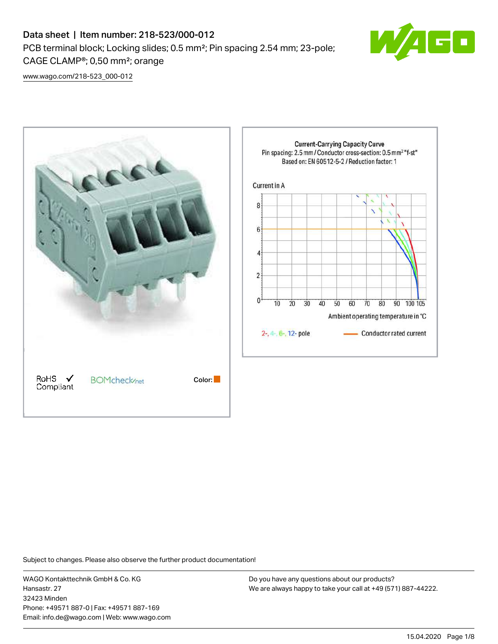# Data sheet | Item number: 218-523/000-012 PCB terminal block; Locking slides; 0.5 mm²; Pin spacing 2.54 mm; 23-pole; CAGE CLAMP®; 0,50 mm²; orange



[www.wago.com/218-523\\_000-012](http://www.wago.com/218-523_000-012)



Subject to changes. Please also observe the further product documentation!

WAGO Kontakttechnik GmbH & Co. KG Hansastr. 27 32423 Minden Phone: +49571 887-0 | Fax: +49571 887-169 Email: info.de@wago.com | Web: www.wago.com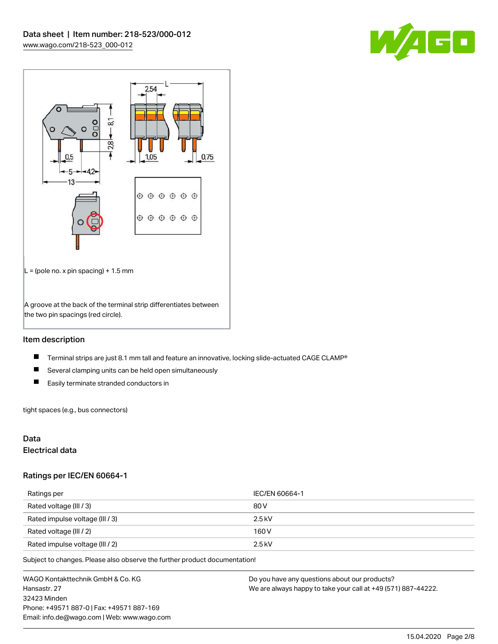



## Item description

- $\blacksquare$ Terminal strips are just 8.1 mm tall and feature an innovative, locking slide-actuated CAGE CLAMP®
- $\blacksquare$ Several clamping units can be held open simultaneously
- $\blacksquare$ Easily terminate stranded conductors in

tight spaces (e.g., bus connectors)

## Data

## Electrical data

#### Ratings per IEC/EN 60664-1

| Ratings per                     | IEC/EN 60664-1 |
|---------------------------------|----------------|
| Rated voltage (III / 3)         | 80 V           |
| Rated impulse voltage (III / 3) | $2.5$ kV       |
| Rated voltage (III / 2)         | 160 V          |
| Rated impulse voltage (III / 2) | $2.5$ kV       |

Subject to changes. Please also observe the further product documentation!

WAGO Kontakttechnik GmbH & Co. KG Hansastr. 27 32423 Minden Phone: +49571 887-0 | Fax: +49571 887-169 Email: info.de@wago.com | Web: www.wago.com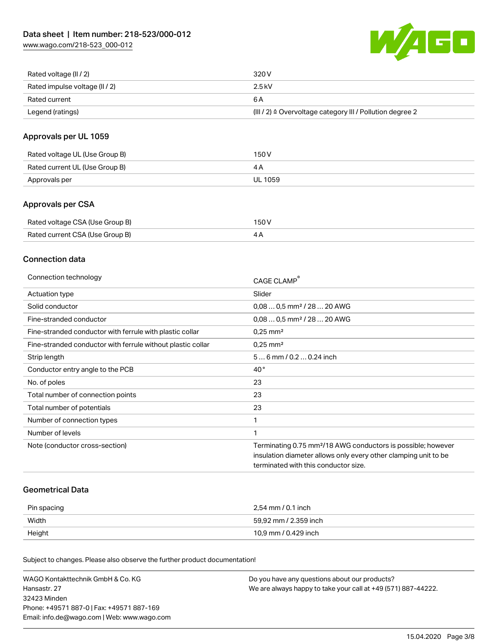[www.wago.com/218-523\\_000-012](http://www.wago.com/218-523_000-012)



| Rated voltage (II / 2)         | 320 V                                                                 |
|--------------------------------|-----------------------------------------------------------------------|
| Rated impulse voltage (II / 2) | 2.5 kV                                                                |
| Rated current                  | 6 A                                                                   |
| Legend (ratings)               | $(III / 2)$ $\triangle$ Overvoltage category III / Pollution degree 2 |

## Approvals per UL 1059

| Rated voltage UL (Use Group B) | 150 V   |
|--------------------------------|---------|
| Rated current UL (Use Group B) |         |
| Approvals per                  | UL 1059 |

## Approvals per CSA

| Rated voltage CSA (Use Group B) | 150 V |
|---------------------------------|-------|
| Rated current CSA (Use Group B) |       |

## Connection data

| Connection technology                                       | CAGE CLAMP                                                               |
|-------------------------------------------------------------|--------------------------------------------------------------------------|
| Actuation type                                              | Slider                                                                   |
| Solid conductor                                             | $0.080.5$ mm <sup>2</sup> / 28  20 AWG                                   |
| Fine-stranded conductor                                     | $0,080,5$ mm <sup>2</sup> / 28  20 AWG                                   |
| Fine-stranded conductor with ferrule with plastic collar    | $0.25$ mm <sup>2</sup>                                                   |
| Fine-stranded conductor with ferrule without plastic collar | $0.25$ mm <sup>2</sup>                                                   |
| Strip length                                                | 56 mm / 0.2 0.24 inch                                                    |
| Conductor entry angle to the PCB                            | $40^{\circ}$                                                             |
| No. of poles                                                | 23                                                                       |
| Total number of connection points                           | 23                                                                       |
| Total number of potentials                                  | 23                                                                       |
| Number of connection types                                  | 1                                                                        |
| Number of levels                                            |                                                                          |
| Note (conductor cross-section)                              | Terminating 0.75 mm <sup>2</sup> /18 AWG conductors is possible; however |
|                                                             | insulation diameter allows only every other clamping unit to be          |
|                                                             | terminated with this conductor size.                                     |
|                                                             |                                                                          |

#### Geometrical Data

| Pin spacing | 2,54 mm / 0.1 inch    |
|-------------|-----------------------|
| Width       | 59,92 mm / 2.359 inch |
| Height      | 10,9 mm / 0.429 inch  |

Subject to changes. Please also observe the further product documentation!

| WAGO Kontakttechnik GmbH & Co. KG           | Do you have any questions about our products?                 |
|---------------------------------------------|---------------------------------------------------------------|
| Hansastr. 27                                | We are always happy to take your call at +49 (571) 887-44222. |
| 32423 Minden                                |                                                               |
| Phone: +49571 887-01 Fax: +49571 887-169    |                                                               |
| Email: info.de@wago.com   Web: www.wago.com |                                                               |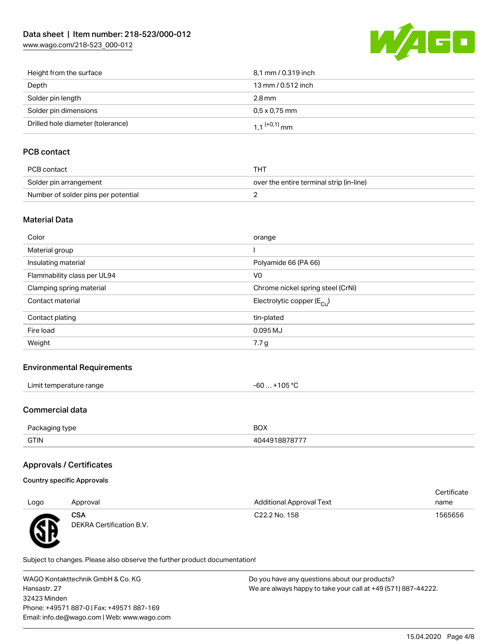[www.wago.com/218-523\\_000-012](http://www.wago.com/218-523_000-012)



| Height from the surface           | 8,1 mm / 0.319 inch        |
|-----------------------------------|----------------------------|
| Depth                             | 13 mm / 0.512 inch         |
| Solder pin length                 | $2.8 \,\mathrm{mm}$        |
| Solder pin dimensions             | $0.5 \times 0.75$ mm       |
| Drilled hole diameter (tolerance) | $1.1$ <sup>(+0,1)</sup> mm |

## PCB contact

| PCB contact                         | THT                                      |
|-------------------------------------|------------------------------------------|
| Solder pin arrangement              | over the entire terminal strip (in-line) |
| Number of solder pins per potential |                                          |

#### Material Data

| Color                       | orange                                 |
|-----------------------------|----------------------------------------|
| Material group              |                                        |
| Insulating material         | Polyamide 66 (PA 66)                   |
| Flammability class per UL94 | V <sub>0</sub>                         |
| Clamping spring material    | Chrome nickel spring steel (CrNi)      |
| Contact material            | Electrolytic copper (E <sub>Cu</sub> ) |
| Contact plating             | tin-plated                             |
| Fire load                   | 0.095 MJ                               |
| Weight                      | 7.7 g                                  |
|                             |                                        |

#### Environmental Requirements

| $\cdots$            |        |
|---------------------|--------|
| * temperature range | 105 °C |
| ∟imit∴              | -n     |
|                     | w      |
|                     |        |

#### Commercial data

W

| Packaging type | <b>BOX</b>    |
|----------------|---------------|
| <b>GTIN</b>    | 4044918878777 |

## Approvals / Certificates

|          |                                        |                                 | Certificate |
|----------|----------------------------------------|---------------------------------|-------------|
| Logo     | Approval                               | <b>Additional Approval Text</b> | name        |
| <b>R</b> | <b>CSA</b><br>DEKRA Certification B.V. | C22.2 No. 158                   | 1565656     |
|          |                                        |                                 |             |

Subject to changes. Please also observe the further product documentation!

WAGO Kontakttechnik GmbH & Co. KG Hansastr. 27 32423 Minden Phone: +49571 887-0 | Fax: +49571 887-169 Email: info.de@wago.com | Web: www.wago.com Do you have any questions about our products? We are always happy to take your call at +49 (571) 887-44222.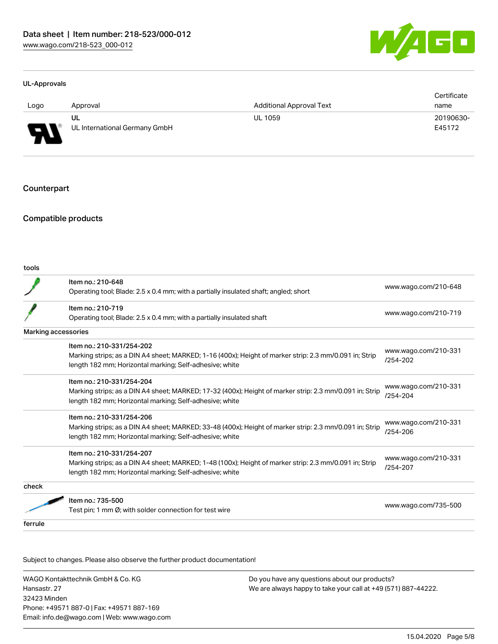

#### UL-Approvals

|                               |                               |                                 | Certificate |
|-------------------------------|-------------------------------|---------------------------------|-------------|
| Logo                          | Approval                      | <b>Additional Approval Text</b> | name        |
|                               | UL                            | <b>UL 1059</b>                  | 20190630-   |
| J<br>$\overline{\phantom{a}}$ | UL International Germany GmbH |                                 | E45172      |

#### **Counterpart**

#### Compatible products

| tools                      |                                                                                                         |                                      |  |
|----------------------------|---------------------------------------------------------------------------------------------------------|--------------------------------------|--|
|                            | Item no.: 210-648                                                                                       |                                      |  |
|                            | Operating tool; Blade: 2.5 x 0.4 mm; with a partially insulated shaft; angled; short                    | www.wago.com/210-648                 |  |
|                            | Item no.: 210-719                                                                                       |                                      |  |
|                            | Operating tool; Blade: 2.5 x 0.4 mm; with a partially insulated shaft                                   | www.wago.com/210-719                 |  |
| <b>Marking accessories</b> |                                                                                                         |                                      |  |
|                            | Item no.: 210-331/254-202                                                                               |                                      |  |
|                            | Marking strips; as a DIN A4 sheet; MARKED; 1-16 (400x); Height of marker strip: 2.3 mm/0.091 in; Strip  | www.wago.com/210-331<br>$/254 - 202$ |  |
|                            | length 182 mm; Horizontal marking; Self-adhesive; white                                                 |                                      |  |
|                            | Item no.: 210-331/254-204                                                                               |                                      |  |
|                            | Marking strips; as a DIN A4 sheet; MARKED; 17-32 (400x); Height of marker strip: 2.3 mm/0.091 in; Strip | www.wago.com/210-331                 |  |
|                            | length 182 mm; Horizontal marking; Self-adhesive; white                                                 | /254-204                             |  |
|                            | Item no.: 210-331/254-206                                                                               |                                      |  |
|                            | Marking strips; as a DIN A4 sheet; MARKED; 33-48 (400x); Height of marker strip: 2.3 mm/0.091 in; Strip | www.wago.com/210-331<br>/254-206     |  |
|                            | length 182 mm; Horizontal marking; Self-adhesive; white                                                 |                                      |  |
|                            | Item no.: 210-331/254-207                                                                               |                                      |  |
|                            | Marking strips; as a DIN A4 sheet; MARKED; 1-48 (100x); Height of marker strip: 2.3 mm/0.091 in; Strip  | www.wago.com/210-331<br>/254-207     |  |
|                            | length 182 mm; Horizontal marking; Self-adhesive; white                                                 |                                      |  |
| check                      |                                                                                                         |                                      |  |
|                            | Item no.: 735-500                                                                                       |                                      |  |
|                            | Test pin; 1 mm Ø; with solder connection for test wire                                                  | www.wago.com/735-500                 |  |
| ferrule                    |                                                                                                         |                                      |  |
|                            |                                                                                                         |                                      |  |

Subject to changes. Please also observe the further product documentation!

WAGO Kontakttechnik GmbH & Co. KG Hansastr. 27 32423 Minden Phone: +49571 887-0 | Fax: +49571 887-169 Email: info.de@wago.com | Web: www.wago.com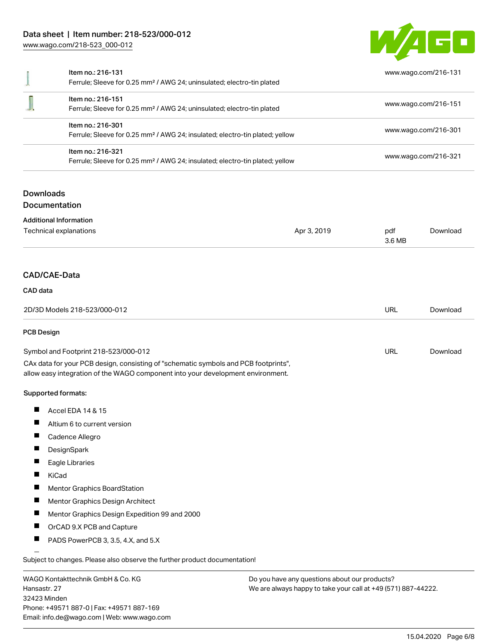## Data sheet | Item number: 218-523/000-012

[www.wago.com/218-523\\_000-012](http://www.wago.com/218-523_000-012)



|                              | Item no.: 216-131<br>Ferrule; Sleeve for 0.25 mm <sup>2</sup> / AWG 24; uninsulated; electro-tin plated                                                                                                                  |                                                                                          |               |                                                                      |  |
|------------------------------|--------------------------------------------------------------------------------------------------------------------------------------------------------------------------------------------------------------------------|------------------------------------------------------------------------------------------|---------------|----------------------------------------------------------------------|--|
|                              |                                                                                                                                                                                                                          |                                                                                          |               | www.wago.com/216-131                                                 |  |
|                              | Item no.: 216-151<br>Ferrule; Sleeve for 0.25 mm <sup>2</sup> / AWG 24; uninsulated; electro-tin plated<br>Item no.: 216-301<br>Ferrule; Sleeve for 0.25 mm <sup>2</sup> / AWG 24; insulated; electro-tin plated; yellow |                                                                                          |               | www.wago.com/216-151<br>www.wago.com/216-301<br>www.wago.com/216-321 |  |
|                              |                                                                                                                                                                                                                          |                                                                                          |               |                                                                      |  |
|                              | Item no.: 216-321                                                                                                                                                                                                        | Ferrule; Sleeve for 0.25 mm <sup>2</sup> / AWG 24; insulated; electro-tin plated; yellow |               |                                                                      |  |
| <b>Downloads</b>             | Documentation                                                                                                                                                                                                            |                                                                                          |               |                                                                      |  |
|                              | <b>Additional Information</b>                                                                                                                                                                                            |                                                                                          |               |                                                                      |  |
|                              | Technical explanations                                                                                                                                                                                                   | Apr 3, 2019                                                                              | pdf<br>3.6 MB | Download                                                             |  |
|                              | CAD/CAE-Data                                                                                                                                                                                                             |                                                                                          |               |                                                                      |  |
| CAD data                     |                                                                                                                                                                                                                          |                                                                                          |               |                                                                      |  |
| 2D/3D Models 218-523/000-012 |                                                                                                                                                                                                                          |                                                                                          | <b>URL</b>    | Download                                                             |  |
| <b>PCB Design</b>            |                                                                                                                                                                                                                          |                                                                                          |               |                                                                      |  |
|                              | Symbol and Footprint 218-523/000-012                                                                                                                                                                                     |                                                                                          | <b>URL</b>    | Download                                                             |  |
|                              | CAx data for your PCB design, consisting of "schematic symbols and PCB footprints",<br>allow easy integration of the WAGO component into your development environment.                                                   |                                                                                          |               |                                                                      |  |
|                              | Supported formats:                                                                                                                                                                                                       |                                                                                          |               |                                                                      |  |
| ш                            | Accel EDA 14 & 15                                                                                                                                                                                                        |                                                                                          |               |                                                                      |  |
|                              | Altium 6 to current version                                                                                                                                                                                              |                                                                                          |               |                                                                      |  |
|                              | Cadence Allegro                                                                                                                                                                                                          |                                                                                          |               |                                                                      |  |
|                              | DesignSpark                                                                                                                                                                                                              |                                                                                          |               |                                                                      |  |
|                              | Eagle Libraries                                                                                                                                                                                                          |                                                                                          |               |                                                                      |  |
|                              | KiCad                                                                                                                                                                                                                    |                                                                                          |               |                                                                      |  |
|                              | Mentor Graphics BoardStation                                                                                                                                                                                             |                                                                                          |               |                                                                      |  |
| $\blacksquare$               | Mentor Graphics Design Architect                                                                                                                                                                                         |                                                                                          |               |                                                                      |  |
|                              | Mentor Graphics Design Expedition 99 and 2000                                                                                                                                                                            |                                                                                          |               |                                                                      |  |
|                              | OrCAD 9.X PCB and Capture                                                                                                                                                                                                |                                                                                          |               |                                                                      |  |
| ш                            | PADS PowerPCB 3, 3.5, 4.X, and 5.X                                                                                                                                                                                       |                                                                                          |               |                                                                      |  |
|                              | Subject to changes. Please also observe the further product documentation!                                                                                                                                               |                                                                                          |               |                                                                      |  |
|                              | WAGO Kontakttechnik GmbH & Co. KG                                                                                                                                                                                        | Do you have any questions about our products?                                            |               |                                                                      |  |
| Hansastr, 27                 |                                                                                                                                                                                                                          | We are always happy to take your call at +49 (571) 887-44222.                            |               |                                                                      |  |

32423 Minden Phone: +49571 887-0 | Fax: +49571 887-169 Email: info.de@wago.com | Web: www.wago.com We are always happy to take your call at +49 (571) 887-44222.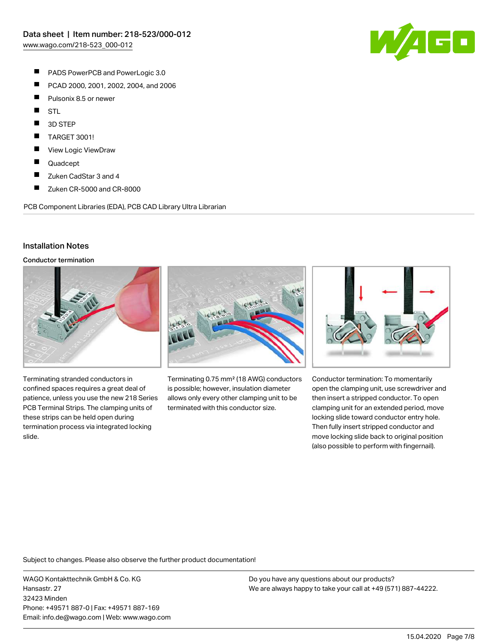- П PADS PowerPCB and PowerLogic 3.0
- П PCAD 2000, 2001, 2002, 2004, and 2006
- $\blacksquare$ Pulsonix 8.5 or newer
- $\blacksquare$ **STL**
- П 3D STEP
- П TARGET 3001!
- $\blacksquare$ View Logic ViewDraw
- $\blacksquare$ Quadcept
- $\blacksquare$ Zuken CadStar 3 and 4
- П Zuken CR-5000 and CR-8000

PCB Component Libraries (EDA), PCB CAD Library Ultra Librarian

## Installation Notes

Conductor termination



Terminating stranded conductors in confined spaces requires a great deal of patience, unless you use the new 218 Series PCB Terminal Strips. The clamping units of these strips can be held open during termination process via integrated locking slide.



Terminating 0.75 mm² (18 AWG) conductors is possible; however, insulation diameter allows only every other clamping unit to be terminated with this conductor size.



Conductor termination: To momentarily open the clamping unit, use screwdriver and then insert a stripped conductor. To open clamping unit for an extended period, move locking slide toward conductor entry hole. Then fully insert stripped conductor and move locking slide back to original position (also possible to perform with fingernail).

Subject to changes. Please also observe the further product documentation!

WAGO Kontakttechnik GmbH & Co. KG Hansastr. 27 32423 Minden Phone: +49571 887-0 | Fax: +49571 887-169 Email: info.de@wago.com | Web: www.wago.com